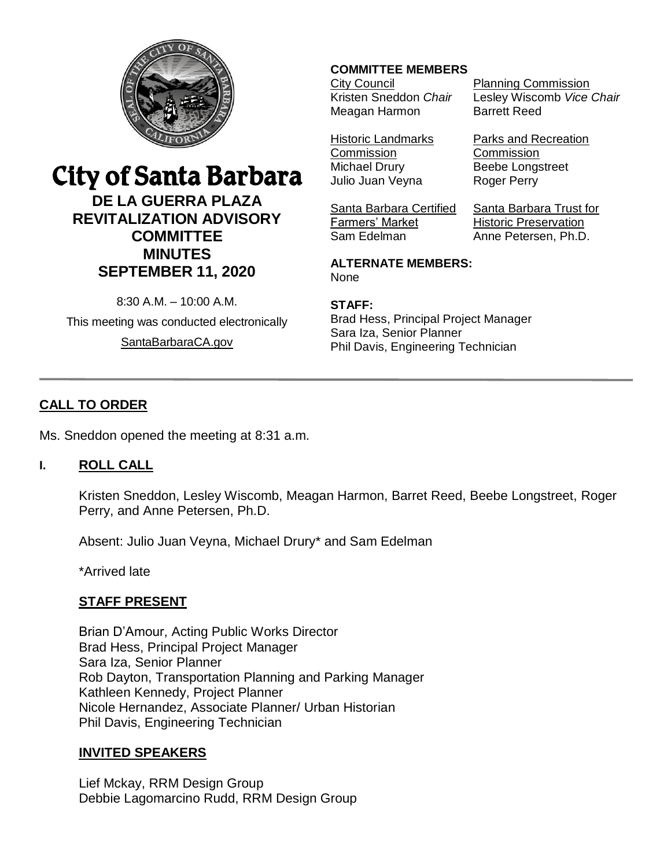

# City of Santa Barbara

**DE LA GUERRA PLAZA REVITALIZATION ADVISORY COMMITTEE MINUTES SEPTEMBER 11, 2020**

8:30 A.M. – 10:00 A.M.

This meeting was conducted electronically [SantaBarbaraCA.gov](http://www.santabarbaraca.gov/)

## **COMMITTEE MEMBERS**

City Council Kristen Sneddon *Chair* Meagan Harmon

Planning Commission Lesley Wiscomb *Vice Chair* Barrett Reed

Historic Landmarks **Commission** Michael Drury Julio Juan Veyna

Santa Barbara Certified Farmers' Market Sam Edelman

Roger Perry Santa Barbara Trust for Historic Preservation

Parks and Recreation

**Commission** Beebe Longstreet

Anne Petersen, Ph.D.

**ALTERNATE MEMBERS:** None

#### **STAFF:**

Brad Hess, Principal Project Manager Sara Iza, Senior Planner Phil Davis, Engineering Technician

# **CALL TO ORDER**

Ms. Sneddon opened the meeting at 8:31 a.m.

# **I. ROLL CALL**

Kristen Sneddon, Lesley Wiscomb, Meagan Harmon, Barret Reed, Beebe Longstreet, Roger Perry, and Anne Petersen, Ph.D.

Absent: Julio Juan Veyna, Michael Drury\* and Sam Edelman

\*Arrived late

# **STAFF PRESENT**

Brian D'Amour, Acting Public Works Director Brad Hess, Principal Project Manager Sara Iza, Senior Planner Rob Dayton, Transportation Planning and Parking Manager Kathleen Kennedy, Project Planner Nicole Hernandez, Associate Planner/ Urban Historian Phil Davis, Engineering Technician

# **INVITED SPEAKERS**

Lief Mckay, RRM Design Group Debbie Lagomarcino Rudd, RRM Design Group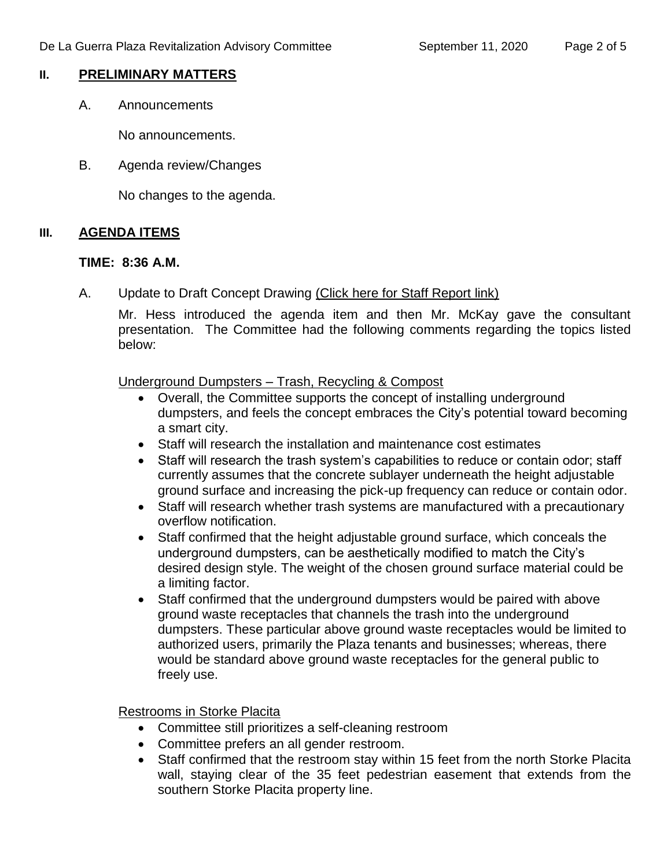#### **II. PRELIMINARY MATTERS**

A. Announcements

No announcements.

B. Agenda review/Changes

No changes to the agenda.

## **III. AGENDA ITEMS**

#### **TIME: 8:36 A.M.**

A. Update to Draft Concept Drawing [\(Click here for Staff Report link\)](https://www.santabarbaraca.gov/civicax/filebank/blobdload.aspx?BlobID=232232)

Mr. Hess introduced the agenda item and then Mr. McKay gave the consultant presentation. The Committee had the following comments regarding the topics listed below:

Underground Dumpsters – Trash, Recycling & Compost

- Overall, the Committee supports the concept of installing underground dumpsters, and feels the concept embraces the City's potential toward becoming a smart city.
- Staff will research the installation and maintenance cost estimates
- Staff will research the trash system's capabilities to reduce or contain odor; staff currently assumes that the concrete sublayer underneath the height adjustable ground surface and increasing the pick-up frequency can reduce or contain odor.
- Staff will research whether trash systems are manufactured with a precautionary overflow notification.
- Staff confirmed that the height adjustable ground surface, which conceals the underground dumpsters, can be aesthetically modified to match the City's desired design style. The weight of the chosen ground surface material could be a limiting factor.
- Staff confirmed that the underground dumpsters would be paired with above ground waste receptacles that channels the trash into the underground dumpsters. These particular above ground waste receptacles would be limited to authorized users, primarily the Plaza tenants and businesses; whereas, there would be standard above ground waste receptacles for the general public to freely use.

Restrooms in Storke Placita

- Committee still prioritizes a self-cleaning restroom
- Committee prefers an all gender restroom.
- Staff confirmed that the restroom stay within 15 feet from the north Storke Placita wall, staying clear of the 35 feet pedestrian easement that extends from the southern Storke Placita property line.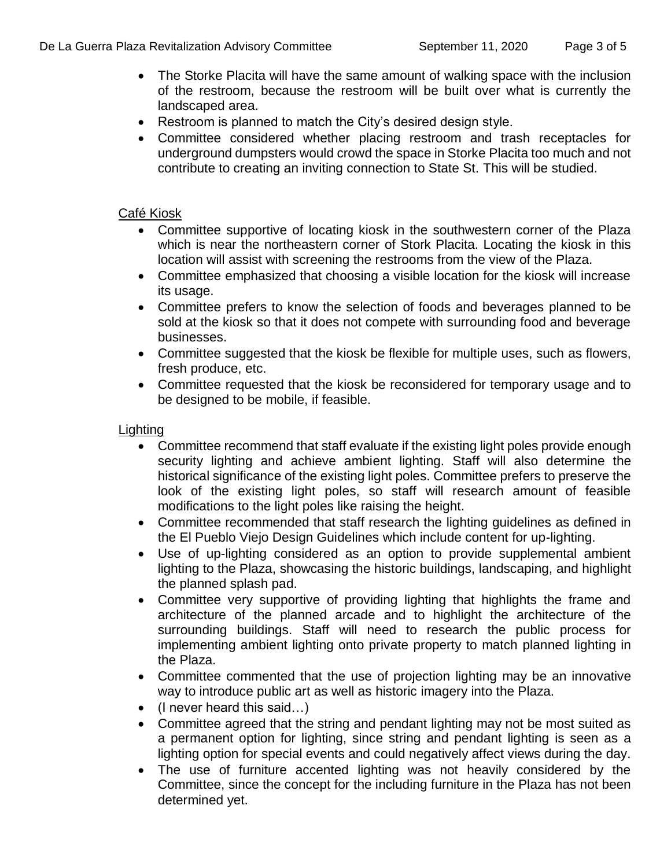- The Storke Placita will have the same amount of walking space with the inclusion of the restroom, because the restroom will be built over what is currently the landscaped area.
- Restroom is planned to match the City's desired design style.
- Committee considered whether placing restroom and trash receptacles for underground dumpsters would crowd the space in Storke Placita too much and not contribute to creating an inviting connection to State St. This will be studied.

#### Café Kiosk

- Committee supportive of locating kiosk in the southwestern corner of the Plaza which is near the northeastern corner of Stork Placita. Locating the kiosk in this location will assist with screening the restrooms from the view of the Plaza.
- Committee emphasized that choosing a visible location for the kiosk will increase its usage.
- Committee prefers to know the selection of foods and beverages planned to be sold at the kiosk so that it does not compete with surrounding food and beverage businesses.
- Committee suggested that the kiosk be flexible for multiple uses, such as flowers, fresh produce, etc.
- Committee requested that the kiosk be reconsidered for temporary usage and to be designed to be mobile, if feasible.

# **Lighting**

- Committee recommend that staff evaluate if the existing light poles provide enough security lighting and achieve ambient lighting. Staff will also determine the historical significance of the existing light poles. Committee prefers to preserve the look of the existing light poles, so staff will research amount of feasible modifications to the light poles like raising the height.
- Committee recommended that staff research the lighting guidelines as defined in the El Pueblo Viejo Design Guidelines which include content for up-lighting.
- Use of up-lighting considered as an option to provide supplemental ambient lighting to the Plaza, showcasing the historic buildings, landscaping, and highlight the planned splash pad.
- Committee very supportive of providing lighting that highlights the frame and architecture of the planned arcade and to highlight the architecture of the surrounding buildings. Staff will need to research the public process for implementing ambient lighting onto private property to match planned lighting in the Plaza.
- Committee commented that the use of projection lighting may be an innovative way to introduce public art as well as historic imagery into the Plaza.
- (I never heard this said…)
- Committee agreed that the string and pendant lighting may not be most suited as a permanent option for lighting, since string and pendant lighting is seen as a lighting option for special events and could negatively affect views during the day.
- The use of furniture accented lighting was not heavily considered by the Committee, since the concept for the including furniture in the Plaza has not been determined yet.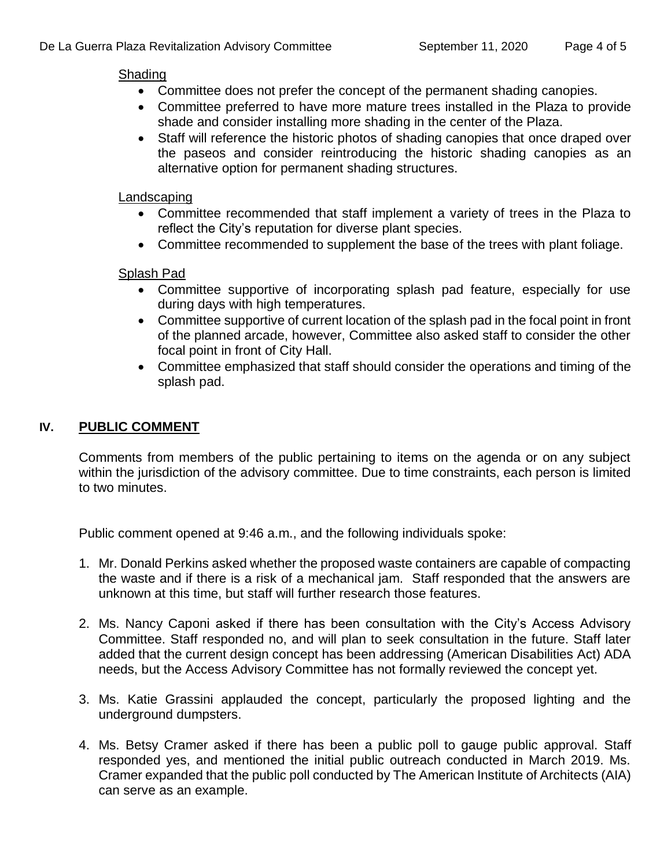#### Shading

- Committee does not prefer the concept of the permanent shading canopies.
- Committee preferred to have more mature trees installed in the Plaza to provide shade and consider installing more shading in the center of the Plaza.
- Staff will reference the historic photos of shading canopies that once draped over the paseos and consider reintroducing the historic shading canopies as an alternative option for permanent shading structures.

#### Landscaping

- Committee recommended that staff implement a variety of trees in the Plaza to reflect the City's reputation for diverse plant species.
- Committee recommended to supplement the base of the trees with plant foliage.

#### Splash Pad

- Committee supportive of incorporating splash pad feature, especially for use during days with high temperatures.
- Committee supportive of current location of the splash pad in the focal point in front of the planned arcade, however, Committee also asked staff to consider the other focal point in front of City Hall.
- Committee emphasized that staff should consider the operations and timing of the splash pad.

## **IV. PUBLIC COMMENT**

Comments from members of the public pertaining to items on the agenda or on any subject within the jurisdiction of the advisory committee. Due to time constraints, each person is limited to two minutes.

Public comment opened at 9:46 a.m., and the following individuals spoke:

- 1. Mr. Donald Perkins asked whether the proposed waste containers are capable of compacting the waste and if there is a risk of a mechanical jam. Staff responded that the answers are unknown at this time, but staff will further research those features.
- 2. Ms. Nancy Caponi asked if there has been consultation with the City's Access Advisory Committee. Staff responded no, and will plan to seek consultation in the future. Staff later added that the current design concept has been addressing (American Disabilities Act) ADA needs, but the Access Advisory Committee has not formally reviewed the concept yet.
- 3. Ms. Katie Grassini applauded the concept, particularly the proposed lighting and the underground dumpsters.
- 4. Ms. Betsy Cramer asked if there has been a public poll to gauge public approval. Staff responded yes, and mentioned the initial public outreach conducted in March 2019. Ms. Cramer expanded that the public poll conducted by The American Institute of Architects (AIA) can serve as an example.